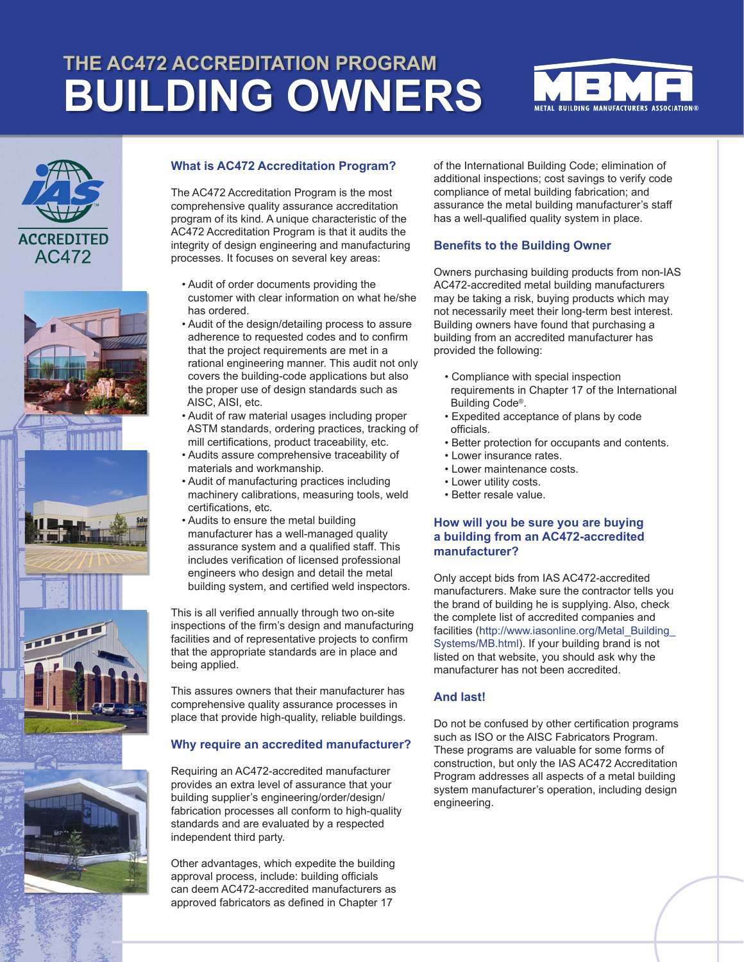# **THE AC472 ACCREDITATION PROGRAM BUILDING OWNERS**













## **What is AC472 Accreditation Program?**

The AC472 Accreditation Program is the most comprehensive quality assurance accreditation program of its kind. A unique characteristic of the AC472 Accreditation Program is that it audits the integrity of design engineering and manufacturing processes. It focuses on several key areas:

- Audit of order documents providing the customer with clear information on what he/she has ordered.
- Audit of the design/detailing process to assure adherence to requested codes and to confirm that the project requirements are met in a rational engineering manner. This audit not only covers the building-code applications but also the proper use of design standards such as AISC, AISI, etc.
- Audit of raw material usages including proper ASTM standards, ordering practices, tracking of mill certifications, product traceability, etc.
- Audits assure comprehensive traceability of materials and workmanship.
- Audit of manufacturing practices including machinery calibrations, measuring tools, weld certifications, etc.
- Audits to ensure the metal building manufacturer has a well-managed quality assurance system and a qualified staff. This includes verification of licensed professional engineers who design and detail the metal building system, and certified weld inspectors.

This is all verified annually through two on-site inspections of the firm's design and manufacturing facilities and of representative projects to confirm that the appropriate standards are in place and being applied.

This assures owners that their manufacturer has comprehensive quality assurance processes in place that provide high-quality, reliable buildings.

# **Why require an accredited manufacturer?**

Requiring an AC472-accredited manufacturer provides an extra level of assurance that your building supplier's engineering/order/design/ fabrication processes all conform to high-quality standards and are evaluated by a respected independent third party.

Other advantages, which expedite the building approval process, include: building officials can deem AC472-accredited manufacturers as approved fabricators as defined in Chapter 17

of the International Building Code; elimination of additional inspections; cost savings to verify code compliance of metal building fabrication; and assurance the metal building manufacturer's staff has a well-qualified quality system in place.

#### **Benefits to the Building Owner**

Owners purchasing building products from non-IAS AC472-accredited metal building manufacturers may be taking a risk, buying products which may not necessarily meet their long-term best interest. Building owners have found that purchasing a building from an accredited manufacturer has provided the following:

- Compliance with special inspection requirements in Chapter 17 of the International Building Code®.
- Expedited acceptance of plans by code officials.
- Better protection for occupants and contents.
- Lower insurance rates.
- Lower maintenance costs.
- Lower utility costs.
- Better resale value.

## **How will you be sure you are buying a building from an AC472-accredited manufacturer?**

Only accept bids from IAS AC472-accredited manufacturers. Make sure the contractor tells you the brand of building he is supplying. Also, check the complete list of accredited companies and facilities (http://www.iasonline.org/Metal\_Building Systems/MB.html). If your building brand is not listed on that website, you should ask why the manufacturer has not been accredited.

# **And last!**

Do not be confused by other certification programs such as ISO or the AISC Fabricators Program. These programs are valuable for some forms of construction, but only the IAS AC472 Accreditation Program addresses all aspects of a metal building system manufacturer's operation, including design engineering.